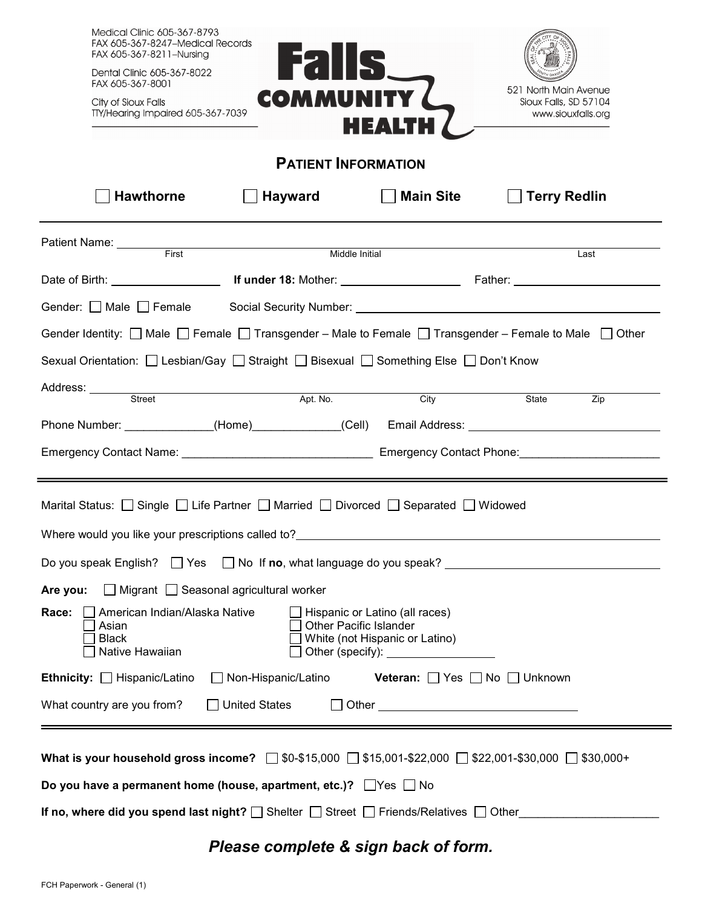| <b>Medical Clinic 605-367-8793</b><br>FAX 605-367-8247-Medical Records                                                                                    |                                                                                                                                                                                                                                |                                                     |                                                                      |  |  |  |  |  |  |
|-----------------------------------------------------------------------------------------------------------------------------------------------------------|--------------------------------------------------------------------------------------------------------------------------------------------------------------------------------------------------------------------------------|-----------------------------------------------------|----------------------------------------------------------------------|--|--|--|--|--|--|
| FAX 605-367-8211-Nursing<br>Dental Clinic 605-367-8022<br>FAX 605-367-8001                                                                                | <b>Falls</b>                                                                                                                                                                                                                   |                                                     |                                                                      |  |  |  |  |  |  |
| City of Sioux Falls<br>TTY/Hearing Impaired 605-367-7039                                                                                                  | <b>COMMUNITY</b>                                                                                                                                                                                                               | <b>HEALTH</b>                                       | 521 North Main Avenue<br>Sioux Falls, SD 57104<br>www.siouxfalls.org |  |  |  |  |  |  |
| <b>PATIENT INFORMATION</b>                                                                                                                                |                                                                                                                                                                                                                                |                                                     |                                                                      |  |  |  |  |  |  |
| <b>Hawthorne</b>                                                                                                                                          | <b>Hayward</b>                                                                                                                                                                                                                 | <b>Main Site</b>                                    | <b>Terry Redlin</b>                                                  |  |  |  |  |  |  |
| Patient Name: First First Name Patient Name Patient All Allen Report of the Render of Allen Allen Middle Initial                                          |                                                                                                                                                                                                                                |                                                     |                                                                      |  |  |  |  |  |  |
|                                                                                                                                                           |                                                                                                                                                                                                                                |                                                     | Last                                                                 |  |  |  |  |  |  |
|                                                                                                                                                           |                                                                                                                                                                                                                                |                                                     |                                                                      |  |  |  |  |  |  |
| Gender: $\Box$ Male $\Box$ Female                                                                                                                         |                                                                                                                                                                                                                                |                                                     |                                                                      |  |  |  |  |  |  |
| Gender Identity: $\Box$ Male $\Box$ Female $\Box$ Transgender – Male to Female $\Box$ Transgender – Female to Male $\Box$ Other                           |                                                                                                                                                                                                                                |                                                     |                                                                      |  |  |  |  |  |  |
| Sexual Orientation: □ Lesbian/Gay □ Straight □ Bisexual □ Something Else □ Don't Know                                                                     |                                                                                                                                                                                                                                |                                                     |                                                                      |  |  |  |  |  |  |
|                                                                                                                                                           |                                                                                                                                                                                                                                |                                                     |                                                                      |  |  |  |  |  |  |
| Address: <u>Street Apt. No.</u>                                                                                                                           |                                                                                                                                                                                                                                | City                                                | State<br>Zip                                                         |  |  |  |  |  |  |
| Phone Number: _____________(Home)____________(Cell) Email Address: _________________________________                                                      |                                                                                                                                                                                                                                |                                                     |                                                                      |  |  |  |  |  |  |
|                                                                                                                                                           | Emergency Contact Name: 1980 Contact Phone: 2008 Contact Phone: 2008 Contact Phone: 2008 Contact Phone: 2008 Contact Phone: 2008 Contact Phone: 2008 Contact Phone: 2008 Contact Phone: 2008 Contact Phone: 2008 Contact Phone |                                                     |                                                                      |  |  |  |  |  |  |
|                                                                                                                                                           |                                                                                                                                                                                                                                |                                                     |                                                                      |  |  |  |  |  |  |
| Marital Status: Single Life Partner Married Divorced Separated Widowed                                                                                    |                                                                                                                                                                                                                                |                                                     |                                                                      |  |  |  |  |  |  |
|                                                                                                                                                           |                                                                                                                                                                                                                                |                                                     |                                                                      |  |  |  |  |  |  |
| Where would you like your prescriptions called to?<br>Do you speak English? □ Yes □ No If no, what language do you speak? _______________________________ |                                                                                                                                                                                                                                |                                                     |                                                                      |  |  |  |  |  |  |
|                                                                                                                                                           |                                                                                                                                                                                                                                |                                                     |                                                                      |  |  |  |  |  |  |
| $\Box$ Migrant $\Box$ Seasonal agricultural worker<br>Are you:                                                                                            |                                                                                                                                                                                                                                |                                                     |                                                                      |  |  |  |  |  |  |
| Race:<br>American Indian/Alaska Native<br>Hispanic or Latino (all races)<br><b>Other Pacific Islander</b><br>Asian<br>White (not Hispanic or Latino)      |                                                                                                                                                                                                                                |                                                     |                                                                      |  |  |  |  |  |  |
| <b>Black</b><br>Native Hawaiian                                                                                                                           |                                                                                                                                                                                                                                | Other (specify): ________________                   |                                                                      |  |  |  |  |  |  |
| Ethnicity:   Hispanic/Latino                                                                                                                              | □ Non-Hispanic/Latino                                                                                                                                                                                                          | <b>Veteran:</b> $\Box$ Yes $\Box$ No $\Box$ Unknown |                                                                      |  |  |  |  |  |  |
| What country are you from?                                                                                                                                | $\Box$ United States                                                                                                                                                                                                           | Other <u>__________________</u>                     |                                                                      |  |  |  |  |  |  |
|                                                                                                                                                           |                                                                                                                                                                                                                                |                                                     |                                                                      |  |  |  |  |  |  |
| What is your household gross income? $\Box$ \$0-\$15,000 $\Box$ \$15,001-\$22,000 $\Box$ \$22,001-\$30,000 $\Box$ \$30,000+                               |                                                                                                                                                                                                                                |                                                     |                                                                      |  |  |  |  |  |  |
| Do you have a permanent home (house, apartment, etc.)? $\Box$ Yes $\Box$ No                                                                               |                                                                                                                                                                                                                                |                                                     |                                                                      |  |  |  |  |  |  |
| If no, where did you spend last night? $\square$ Shelter $\square$ Street $\square$ Friends/Relatives $\square$ Other                                     |                                                                                                                                                                                                                                |                                                     |                                                                      |  |  |  |  |  |  |
|                                                                                                                                                           |                                                                                                                                                                                                                                |                                                     |                                                                      |  |  |  |  |  |  |

# *Please complete & sign back of form.*